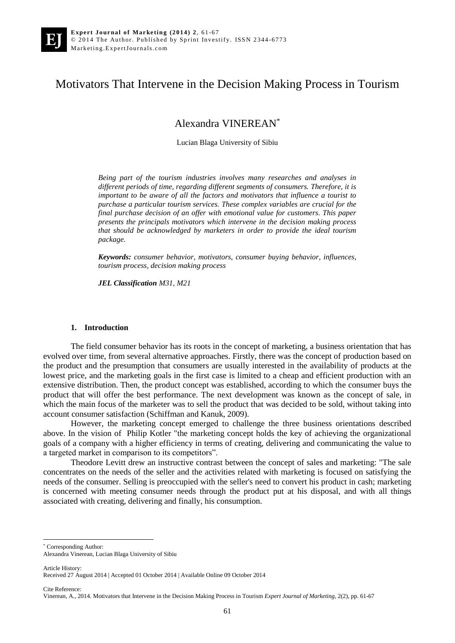# Motivators That Intervene in the Decision Making Process in Tourism

Alexandra VINEREAN\*

Lucian Blaga University of Sibiu

*Being part of the tourism industries involves many researches and analyses in different periods of time, regarding different segments of consumers. Therefore, it is important to be aware of all the factors and motivators that influence a tourist to purchase a particular tourism services. These complex variables are crucial for the final purchase decision of an offer with emotional value for customers. This paper presents the principals motivators which intervene in the decision making process that should be acknowledged by marketers in order to provide the ideal tourism package.* 

*Keywords: consumer behavior, motivators, consumer buying behavior, influences, tourism process, decision making process*

*JEL Classification M31, M21* 

#### **1. Introduction**

The field consumer behavior has its roots in the concept of marketing, a business orientation that has evolved over time, from several alternative approaches. Firstly, there was the concept of production based on the product and the presumption that consumers are usually interested in the availability of products at the lowest price, and the marketing goals in the first case is limited to a cheap and efficient production with an extensive distribution. Then, the product concept was established, according to which the consumer buys the product that will offer the best performance. The next development was known as the concept of sale, in which the main focus of the marketer was to sell the product that was decided to be sold, without taking into account consumer satisfaction (Schiffman and Kanuk, 2009).

However, the marketing concept emerged to challenge the three business orientations described above. In the vision of Philip Kotler "the marketing concept holds the key of achieving the organizational goals of a company with a higher efficiency in terms of creating, delivering and communicating the value to a targeted market in comparison to its competitors".

Theodore Levitt drew an instructive contrast between the concept of sales and marketing: "The sale concentrates on the needs of the seller and the activities related with marketing is focused on satisfying the needs of the consumer. Selling is preoccupied with the seller's need to convert his product in cash; marketing is concerned with meeting consumer needs through the product put at his disposal, and with all things associated with creating, delivering and finally, his consumption.

Article History:

1

Cite Reference:

<sup>\*</sup> Corresponding Author:

Alexandra Vinerean, Lucian Blaga University of Sibiu

Received 27 August 2014 | Accepted 01 October 2014 | Available Online 09 October 2014

Vinerean, A., 2014. Motivators that Intervene in the Decision Making Process in Tourism *Expert Journal of Marketing*, 2(2), pp. 61-67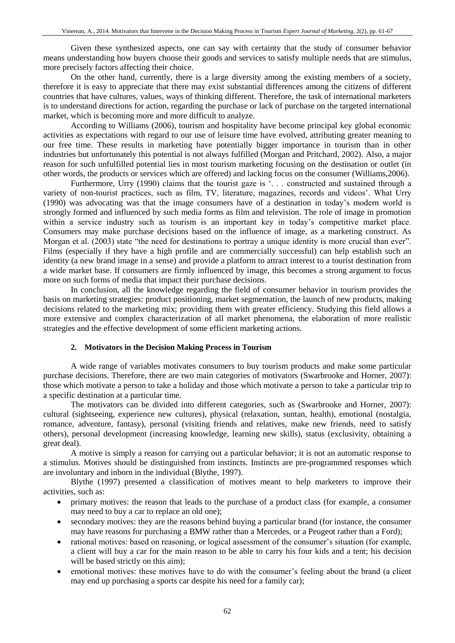Given these synthesized aspects, one can say with certainty that the study of consumer behavior means understanding how buyers choose their goods and services to satisfy multiple needs that are stimulus, more precisely factors affecting their choice.

On the other hand, currently, there is a large diversity among the existing members of a society, therefore it is easy to appreciate that there may exist substantial differences among the citizens of different countries that have cultures, values, ways of thinking different. Therefore, the task of international marketers is to understand directions for action, regarding the purchase or lack of purchase on the targeted international market, which is becoming more and more difficult to analyze.

According to Williams (2006), tourism and hospitality have become principal key global economic activities as expectations with regard to our use of leisure time have evolved, attributing greater meaning to our free time. These results in marketing have potentially bigger importance in tourism than in other industries but unfortunately this potential is not always fulfilled (Morgan and Pritchard, 2002). Also, a major reason for such unfulfilled potential lies in most tourism marketing focusing on the destination or outlet (in other words, the products or services which are offered) and lacking focus on the consumer (Williams,2006).

Furthermore, Urry (1990) claims that the tourist gaze is '... constructed and sustained through a variety of non-tourist practices, such as film, TV, literature, magazines, records and videos'. What Urry (1990) was advocating was that the image consumers have of a destination in today's modern world is strongly formed and influenced by such media forms as film and television. The role of image in promotion within a service industry such as tourism is an important key in today's competitive market place. Consumers may make purchase decisions based on the influence of image, as a marketing construct. As Morgan et al. (2003) state "the need for destinations to portray a unique identity is more crucial than ever". Films (especially if they have a high profile and are commercially successful) can help establish such an identity (a new brand image in a sense) and provide a platform to attract interest to a tourist destination from a wide market base. If consumers are firmly influenced by image, this becomes a strong argument to focus more on such forms of media that impact their purchase decisions.

In conclusion, all the knowledge regarding the field of consumer behavior in tourism provides the basis on marketing strategies: product positioning, market segmentation, the launch of new products, making decisions related to the marketing mix; providing them with greater efficiency. Studying this field allows a more extensive and complex characterization of all market phenomena, the elaboration of more realistic strategies and the effective development of some efficient marketing actions.

## **2. Motivators in the Decision Making Process in Tourism**

A wide range of variables motivates consumers to buy tourism products and make some particular purchase decisions. Therefore, there are two main categories of motivators (Swarbrooke and Horner, 2007): those which motivate a person to take a holiday and those which motivate a person to take a particular trip to a specific destination at a particular time.

The motivators can be divided into different categories, such as (Swarbrooke and Horner, 2007): cultural (sightseeing, experience new cultures), physical (relaxation, suntan, health), emotional (nostalgia, romance, adventure, fantasy), personal (visiting friends and relatives, make new friends, need to satisfy others), personal development (increasing knowledge, learning new skills), status (exclusivity, obtaining a great deal).

A motive is simply a reason for carrying out a particular behavior; it is not an automatic response to a stimulus. Motives should be distinguished from instincts. Instincts are pre-programmed responses which are involuntary and inborn in the individual (Blythe, 1997).

Blythe (1997) presented a classification of motives meant to help marketers to improve their activities, such as:

- primary motives: the reason that leads to the purchase of a product class (for example, a consumer may need to buy a car to replace an old one);
- secondary motives: they are the reasons behind buying a particular brand (for instance, the consumer may have reasons for purchasing a BMW rather than a Mercedes, or a Peugeot rather than a Ford);
- rational motives: based on reasoning, or logical assessment of the consumer's situation (for example, a client will buy a car for the main reason to be able to carry his four kids and a tent; his decision will be based strictly on this aim);
- emotional motives: these motives have to do with the consumer's feeling about the brand (a client may end up purchasing a sports car despite his need for a family car);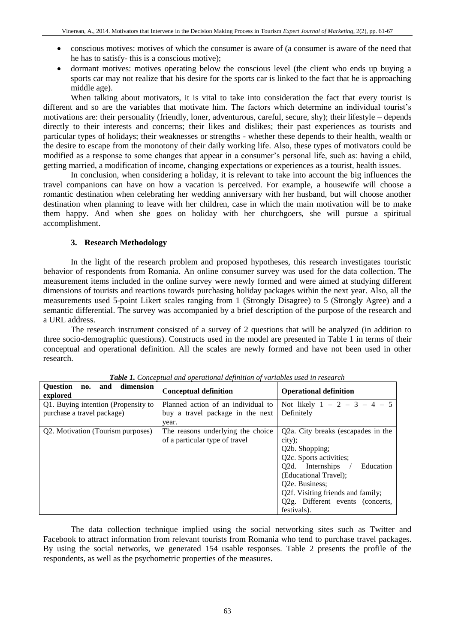- conscious motives: motives of which the consumer is aware of (a consumer is aware of the need that he has to satisfy- this is a conscious motive);
- dormant motives: motives operating below the conscious level (the client who ends up buying a sports car may not realize that his desire for the sports car is linked to the fact that he is approaching middle age).

When talking about motivators, it is vital to take into consideration the fact that every tourist is different and so are the variables that motivate him. The factors which determine an individual tourist's motivations are: their personality (friendly, loner, adventurous, careful, secure, shy); their lifestyle – depends directly to their interests and concerns; their likes and dislikes; their past experiences as tourists and particular types of holidays; their weaknesses or strengths - whether these depends to their health, wealth or the desire to escape from the monotony of their daily working life. Also, these types of motivators could be modified as a response to some changes that appear in a consumer's personal life, such as: having a child, getting married, a modification of income, changing expectations or experiences as a tourist, health issues.

In conclusion, when considering a holiday, it is relevant to take into account the big influences the travel companions can have on how a vacation is perceived. For example, a housewife will choose a romantic destination when celebrating her wedding anniversary with her husband, but will choose another destination when planning to leave with her children, case in which the main motivation will be to make them happy. And when she goes on holiday with her churchgoers, she will pursue a spiritual accomplishment.

## **3. Research Methodology**

In the light of the research problem and proposed hypotheses, this research investigates touristic behavior of respondents from Romania. An online consumer survey was used for the data collection. The measurement items included in the online survey were newly formed and were aimed at studying different dimensions of tourists and reactions towards purchasing holiday packages within the next year. Also, all the measurements used 5-point Likert scales ranging from 1 (Strongly Disagree) to 5 (Strongly Agree) and a semantic differential. The survey was accompanied by a brief description of the purpose of the research and a URL address.

The research instrument consisted of a survey of 2 questions that will be analyzed (in addition to three socio-demographic questions). Constructs used in the model are presented in Table 1 in terms of their conceptual and operational definition. All the scales are newly formed and have not been used in other research.

| <b>Ouestion</b><br>and dimension<br>no.<br>explored | <b>Conceptual definition</b>       | <b>Operational definition</b>      |
|-----------------------------------------------------|------------------------------------|------------------------------------|
| Q1. Buying intention (Propensity to                 | Planned action of an individual to | Not likely $1 - 2 - 3 - 4 - 5$     |
| purchase a travel package)                          | buy a travel package in the next   | Definitely                         |
|                                                     | year.                              |                                    |
| Q2. Motivation (Tourism purposes)                   | The reasons underlying the choice  | Q2a. City breaks (escapades in the |
|                                                     | of a particular type of travel     | city);                             |
|                                                     |                                    | Q2b. Shopping;                     |
|                                                     |                                    | Q2c. Sports activities;            |
|                                                     |                                    | Q2d. Internships<br>Education      |
|                                                     |                                    | (Educational Travel);              |
|                                                     |                                    | O <sub>2</sub> e. Business:        |
|                                                     |                                    | Q2f. Visiting friends and family;  |
|                                                     |                                    | Q2g. Different events (concerts,   |
|                                                     |                                    | festivals).                        |

*Table 1. Conceptual and operational definition of variables used in research*

The data collection technique implied using the social networking sites such as Twitter and Facebook to attract information from relevant tourists from Romania who tend to purchase travel packages. By using the social networks, we generated 154 usable responses. Table 2 presents the profile of the respondents, as well as the psychometric properties of the measures.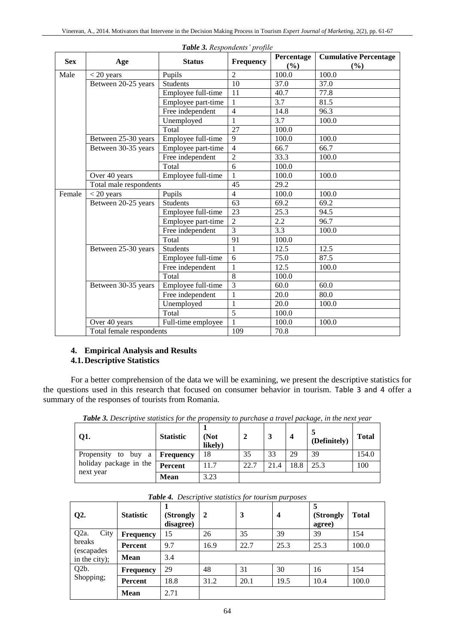|            |                                         | <b>Tuble 5.</b> Respondents projuct |                  |                   |                                        |
|------------|-----------------------------------------|-------------------------------------|------------------|-------------------|----------------------------------------|
| <b>Sex</b> | Age                                     | <b>Status</b>                       | <b>Frequency</b> | Percentage<br>(%) | <b>Cumulative Percentage</b><br>$($ %) |
| Male       | $<$ 20 years                            | Pupils                              | $\overline{2}$   | 100.0             | 100.0                                  |
|            | Between 20-25 years                     | <b>Students</b>                     | $\overline{10}$  | 37.0              | 37.0                                   |
|            |                                         | Employee full-time                  | 11               | 40.7              | 77.8                                   |
|            |                                         | Employee part-time                  | 1                | 3.7               | 81.5                                   |
|            |                                         | Free independent                    | $\overline{4}$   | 14.8              | 96.3                                   |
|            |                                         | Unemployed                          | 1                | 3.7               | 100.0                                  |
|            |                                         | Total                               | 27               | 100.0             |                                        |
|            | Between 25-30 years                     | Employee full-time                  | 9                | 100.0             | 100.0                                  |
|            | Between 30-35 years                     | Employee part-time                  | $\overline{4}$   | 66.7              | 66.7                                   |
|            |                                         | Free independent                    | $\overline{2}$   | 33.3              | 100.0                                  |
|            |                                         | Total                               | 6                | 100.0             |                                        |
|            | Over 40 years                           | Employee full-time                  |                  | 100.0             | 100.0                                  |
|            | Total male respondents                  |                                     | 45               | 29.2              |                                        |
| Female     | $<$ 20 years                            | Pupils                              | $\overline{4}$   | 100.0             | 100.0                                  |
|            | Between 20-25 years<br><b>Students</b>  |                                     | 63               | 69.2              | 69.2                                   |
|            |                                         | Employee full-time                  | 23               | 25.3              | 94.5                                   |
|            |                                         | Employee part-time                  | $\overline{2}$   | 2.2               | 96.7                                   |
|            |                                         | Free independent                    | 3                | 3.3               | 100.0                                  |
|            |                                         | Total                               | 91               | 100.0             |                                        |
|            | Between 25-30 years                     | <b>Students</b>                     | $\overline{1}$   | 12.5              | 12.5                                   |
|            |                                         | Employee full-time                  | 6                | 75.0              | 87.5                                   |
|            |                                         | Free independent                    | $\mathbf{1}$     | 12.5              | 100.0                                  |
|            |                                         | Total                               | 8                | 100.0             |                                        |
|            | Between 30-35 years                     | Employee full-time                  | $\overline{3}$   | 60.0              | 60.0                                   |
|            | Free independent<br>Unemployed<br>Total |                                     | $\mathbf{1}$     | 20.0              | 80.0                                   |
|            |                                         |                                     | $\mathbf{1}$     | 20.0              | 100.0                                  |
|            |                                         |                                     | $\overline{5}$   | 100.0             |                                        |
|            | Over 40 years                           | Full-time employee                  |                  | 100.0             | 100.0                                  |
|            | Total female respondents                |                                     | 109              | 70.8              |                                        |

*Table 3. Respondents' profile*

# **4. Empirical Analysis and Results**

## **4.1.Descriptive Statistics**

For a better comprehension of the data we will be examining, we present the descriptive statistics for the questions used in this research that focused on consumer behavior in tourism. Table 3 and 4 offer a summary of the responses of tourists from Romania.

| Q1.                                 | <b>Statistic</b> | (Not<br>likely) |      |      | $\overline{\mathbf{4}}$ | (Definitely) | <b>Total</b> |
|-------------------------------------|------------------|-----------------|------|------|-------------------------|--------------|--------------|
| Propensity to buy a                 | <b>Frequency</b> | 18              | 35   | 33   | 29                      | 39           | 154.0        |
| holiday package in the<br>next year | Percent          | 11.7            | 22.7 | 21.4 | 18.8                    | 25.3         | 100          |
|                                     | <b>Mean</b>      | 3.23            |      |      |                         |              |              |

*Table 3. Descriptive statistics for the propensity to purchase a travel package, in the next year*

| $Q2$ .                    | <b>Statistic</b> | (Strongly<br>disagree) | $\mathbf{2}$ | 3    | $\overline{\mathbf{4}}$ | (Strongly<br>agree) | <b>Total</b> |
|---------------------------|------------------|------------------------|--------------|------|-------------------------|---------------------|--------------|
| Q <sub>2</sub> a.<br>City | <b>Frequency</b> | 15                     | 26           | 35   | 39                      | 39                  | 154          |
| breaks<br>(escapades      | <b>Percent</b>   | 9.7                    | 16.9         | 22.7 | 25.3                    | 25.3                | 100.0        |
| in the city);             | <b>Mean</b>      | 3.4                    |              |      |                         |                     |              |
| Q <sub>2</sub> b.         | <b>Frequency</b> | 29                     | 48           | 31   | 30                      | 16                  | 154          |
| Shopping;                 | Percent          | 18.8                   | 31.2         | 20.1 | 19.5                    | 10.4                | 100.0        |
|                           | <b>Mean</b>      | 2.71                   |              |      |                         |                     |              |

*Table 4. Descriptive statistics for tourism purposes*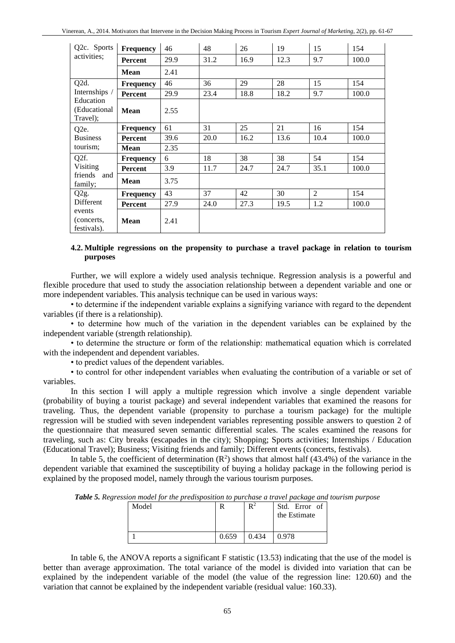| Q2c. Sports                           | <b>Frequency</b> | 46   | 48   | 26   | 19   | 15   | 154   |
|---------------------------------------|------------------|------|------|------|------|------|-------|
| activities;                           | Percent          | 29.9 | 31.2 | 16.9 | 12.3 | 9.7  | 100.0 |
|                                       | <b>Mean</b>      | 2.41 |      |      |      |      |       |
| Q <sub>2</sub> d.                     | <b>Frequency</b> | 46   | 36   | 29   | 28   | 15   | 154   |
| Internships /                         | Percent          | 29.9 | 23.4 | 18.8 | 18.2 | 9.7  | 100.0 |
| Education<br>(Educational<br>Travel); | <b>Mean</b>      | 2.55 |      |      |      |      |       |
| Q <sub>2</sub> e.                     | <b>Frequency</b> | 61   | 31   | 25   | 21   | 16   | 154   |
| <b>Business</b>                       | Percent          | 39.6 | 20.0 | 16.2 | 13.6 | 10.4 | 100.0 |
| tourism;                              | <b>Mean</b>      | 2.35 |      |      |      |      |       |
| Q2f.                                  | <b>Frequency</b> | 6    | 18   | 38   | 38   | 54   | 154   |
| Visiting                              | <b>Percent</b>   | 3.9  | 11.7 | 24.7 | 24.7 | 35.1 | 100.0 |
| friends<br>and<br>family;             | Mean             | 3.75 |      |      |      |      |       |
| Q <sub>2g</sub> .                     | <b>Frequency</b> | 43   | 37   | 42   | 30   | 2    | 154   |
| Different                             | Percent          | 27.9 | 24.0 | 27.3 | 19.5 | 1.2  | 100.0 |
| events<br>(concerts,<br>festivals).   | Mean             | 2.41 |      |      |      |      |       |

## **4.2. Multiple regressions on the propensity to purchase a travel package in relation to tourism purposes**

Further, we will explore a widely used analysis technique. Regression analysis is a powerful and flexible procedure that used to study the association relationship between a dependent variable and one or more independent variables. This analysis technique can be used in various ways:

• to determine if the independent variable explains a signifying variance with regard to the dependent variables (if there is a relationship).

• to determine how much of the variation in the dependent variables can be explained by the independent variable (strength relationship).

• to determine the structure or form of the relationship: mathematical equation which is correlated with the independent and dependent variables.

• to predict values of the dependent variables.

• to control for other independent variables when evaluating the contribution of a variable or set of variables.

In this section I will apply a multiple regression which involve a single dependent variable (probability of buying a tourist package) and several independent variables that examined the reasons for traveling. Thus, the dependent variable (propensity to purchase a tourism package) for the multiple regression will be studied with seven independent variables representing possible answers to question 2 of the questionnaire that measured seven semantic differential scales. The scales examined the reasons for traveling, such as: City breaks (escapades in the city); Shopping; Sports activities; Internships / Education (Educational Travel); Business; Visiting friends and family; Different events (concerts, festivals).

In table 5, the coefficient of determination  $(R^2)$  shows that almost half (43.4%) of the variance in the dependent variable that examined the susceptibility of buying a holiday package in the following period is explained by the proposed model, namely through the various tourism purposes.

| Model |       | $\mathbb{R}^2$ | Std. Error of<br>the Estimate |
|-------|-------|----------------|-------------------------------|
|       | 0.659 | 0.434          | 0.978                         |

*Table 5. Regression model for the predisposition to purchase a travel package and tourism purpose*

In table 6, the ANOVA reports a significant F statistic (13.53) indicating that the use of the model is better than average approximation. The total variance of the model is divided into variation that can be explained by the independent variable of the model (the value of the regression line: 120.60) and the variation that cannot be explained by the independent variable (residual value: 160.33).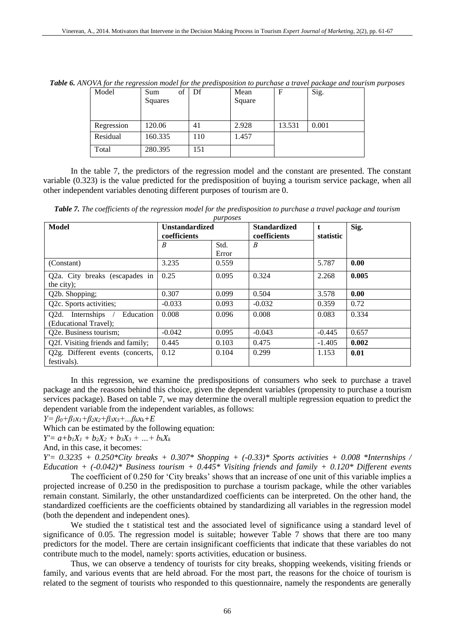| Model      | of<br>Sum<br>Squares | Df  | Mean<br>Square | F      | Sig.  |
|------------|----------------------|-----|----------------|--------|-------|
| Regression | 120.06               | 41  | 2.928          | 13.531 | 0.001 |
| Residual   | 160.335              | 110 | 1.457          |        |       |
| Total      | 280.395              | 151 |                |        |       |

*Table 6. ANOVA for the regression model for the predisposition to purchase a travel package and tourism purposes*

In the table 7, the predictors of the regression model and the constant are presented. The constant variable (0.323) is the value predicted for the predisposition of buying a tourism service package, when all other independent variables denoting different purposes of tourism are 0.

*Table 7. The coefficients of the regression model for the predisposition to purchase a travel package and tourism* 

| purposes                          |                       |       |                     |           |       |  |  |
|-----------------------------------|-----------------------|-------|---------------------|-----------|-------|--|--|
| Model                             | <b>Unstandardized</b> |       | <b>Standardized</b> | t.        | Sig.  |  |  |
|                                   | coefficients          |       | coefficients        | statistic |       |  |  |
|                                   | B                     | Std.  | B                   |           |       |  |  |
|                                   |                       | Error |                     |           |       |  |  |
| (Constant)                        | 3.235                 | 0.559 |                     | 5.787     | 0.00  |  |  |
| Q2a. City breaks (escapades in    | 0.25                  | 0.095 | 0.324               | 2.268     | 0.005 |  |  |
| the city);                        |                       |       |                     |           |       |  |  |
| Q2b. Shopping;                    | 0.307                 | 0.099 | 0.504               | 3.578     | 0.00  |  |  |
| Q2c. Sports activities;           | $-0.033$              | 0.093 | $-0.032$            | 0.359     | 0.72  |  |  |
| Q2d. Internships /<br>Education   | 0.008                 | 0.096 | 0.008               | 0.083     | 0.334 |  |  |
| (Educational Travel);             |                       |       |                     |           |       |  |  |
| Q2e. Business tourism;            | $-0.042$              | 0.095 | $-0.043$            | $-0.445$  | 0.657 |  |  |
| Q2f. Visiting friends and family; | 0.445                 | 0.103 | 0.475               | $-1.405$  | 0.002 |  |  |
| Q2g. Different events (concerts,  | 0.12                  | 0.104 | 0.299               | 1.153     | 0.01  |  |  |
| festivals).                       |                       |       |                     |           |       |  |  |

In this regression, we examine the predispositions of consumers who seek to purchase a travel package and the reasons behind this choice, given the dependent variables (propensity to purchase a tourism services package). Based on table 7, we may determine the overall multiple regression equation to predict the dependent variable from the independent variables, as follows:

*Y= β0+β1x1+β2x2+β3x3+...βkxk+E*

Which can be estimated by the following equation:

 $Y' = a+b_1X_1 + b_2X_2 + b_3X_3 + ... + b_kX_k$ 

And, in this case, it becomes:

*Y'= 0.3235 + 0.250\*City breaks + 0.307\* Shopping + (-0.33)\* Sports activities + 0.008 \*Internships / Education + (-0.042)\* Business tourism + 0.445\* Visiting friends and family + 0.120\* Different events*

The coefficient of 0.250 for 'City breaks' shows that an increase of one unit of this variable implies a projected increase of 0.250 in the predisposition to purchase a tourism package, while the other variables remain constant. Similarly, the other unstandardized coefficients can be interpreted. On the other hand, the standardized coefficients are the coefficients obtained by standardizing all variables in the regression model (both the dependent and independent ones).

We studied the t statistical test and the associated level of significance using a standard level of significance of 0.05. The regression model is suitable; however Table 7 shows that there are too many predictors for the model. There are certain insignificant coefficients that indicate that these variables do not contribute much to the model, namely: sports activities, education or business.

Thus, we can observe a tendency of tourists for city breaks, shopping weekends, visiting friends or family, and various events that are held abroad. For the most part, the reasons for the choice of tourism is related to the segment of tourists who responded to this questionnaire, namely the respondents are generally